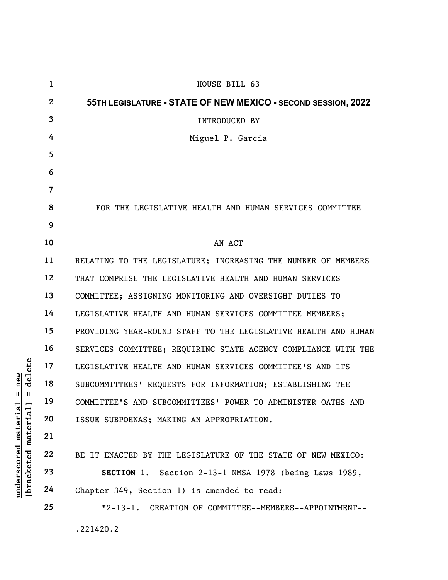| delete<br>new<br>$\mathsf{II}$<br>H<br>[ <del>bracketed material</del> ]<br><u>material</u><br>underscored | $\mathbf{1}$   | HOUSE BILL 63                                                  |
|------------------------------------------------------------------------------------------------------------|----------------|----------------------------------------------------------------|
|                                                                                                            | $\mathbf{2}$   | 55TH LEGISLATURE - STATE OF NEW MEXICO - SECOND SESSION, 2022  |
|                                                                                                            | $\mathbf{3}$   | INTRODUCED BY                                                  |
|                                                                                                            | 4              | Miguel P. Garcia                                               |
|                                                                                                            | 5              |                                                                |
|                                                                                                            | 6              |                                                                |
|                                                                                                            | $\overline{7}$ |                                                                |
|                                                                                                            | 8              | FOR THE LEGISLATIVE HEALTH AND HUMAN SERVICES COMMITTEE        |
|                                                                                                            | 9              |                                                                |
|                                                                                                            | 10             | AN ACT                                                         |
|                                                                                                            | 11             | RELATING TO THE LEGISLATURE; INCREASING THE NUMBER OF MEMBERS  |
|                                                                                                            | 12             | THAT COMPRISE THE LEGISLATIVE HEALTH AND HUMAN SERVICES        |
|                                                                                                            | 13             | COMMITTEE; ASSIGNING MONITORING AND OVERSIGHT DUTIES TO        |
|                                                                                                            | 14             | LEGISLATIVE HEALTH AND HUMAN SERVICES COMMITTEE MEMBERS;       |
|                                                                                                            | 15             | PROVIDING YEAR-ROUND STAFF TO THE LEGISLATIVE HEALTH AND HUMAN |
|                                                                                                            | 16             | SERVICES COMMITTEE; REQUIRING STATE AGENCY COMPLIANCE WITH THE |
|                                                                                                            | 17             | LEGISLATIVE HEALTH AND HUMAN SERVICES COMMITTEE'S AND ITS      |
|                                                                                                            | 18             | SUBCOMMITTEES' REQUESTS FOR INFORMATION; ESTABLISHING THE      |
|                                                                                                            | 19             | COMMITTEE'S AND SUBCOMMITTEES' POWER TO ADMINISTER OATHS AND   |
|                                                                                                            | 20             | ISSUE SUBPOENAS; MAKING AN APPROPRIATION.                      |
|                                                                                                            | 21             |                                                                |
|                                                                                                            | 22             | BE IT ENACTED BY THE LEGISLATURE OF THE STATE OF NEW MEXICO:   |
|                                                                                                            | 23             | SECTION 1. Section 2-13-1 NMSA 1978 (being Laws 1989,          |
|                                                                                                            | 24             | Chapter 349, Section 1) is amended to read:                    |
|                                                                                                            | 25             | $"2-13-1.$<br>CREATION OF COMMITTEE--MEMBERS--APPOINTMENT--    |
|                                                                                                            |                | .221420.2                                                      |
|                                                                                                            |                |                                                                |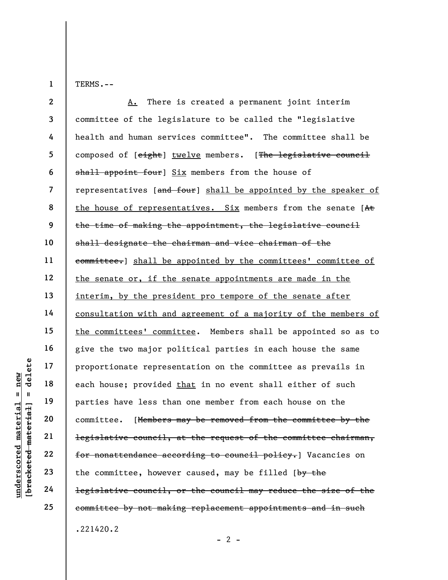1

TERMS.--

underscored material = new [bracketed material] = delete 2 3 4 5 6 7 8 9 10 11 12 13 14 15 16 17 18 19 20 21 22 23 24 25 A. There is created a permanent joint interim committee of the legislature to be called the "legislative health and human services committee". The committee shall be composed of [eight] twelve members. [The legislative council shall appoint four] Six members from the house of representatives [and four] shall be appointed by the speaker of the house of representatives. Six members from the senate [At the time of making the appointment, the legislative council shall designate the chairman and vice chairman of the committee.] shall be appointed by the committees' committee of the senate or, if the senate appointments are made in the interim, by the president pro tempore of the senate after consultation with and agreement of a majority of the members of the committees' committee. Members shall be appointed so as to give the two major political parties in each house the same proportionate representation on the committee as prevails in each house; provided that in no event shall either of such parties have less than one member from each house on the committee. [Members may be removed from the committee by the legislative council, at the request of the committee chairman, for nonattendance according to council policy.] Vacancies on the committee, however caused, may be filled  $[\frac{by}{v}]$ legislative council, or the council may reduce the size of the committee by not making replacement appointments and in such .221420.2

 $- 2 -$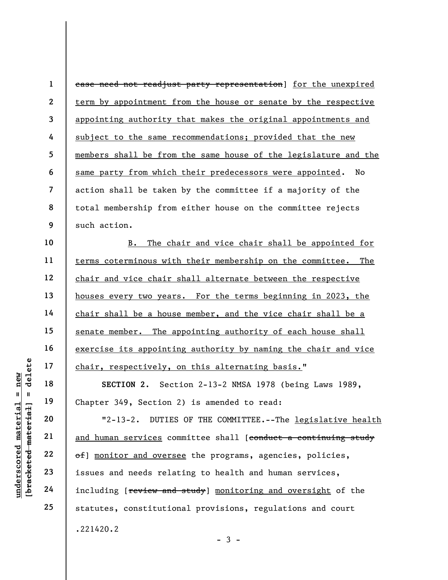under 17<br>
= 18<br>
= 18<br>
= 19<br>
= 19<br>
= 19<br>
= 19<br>
= 19<br>
= 19<br>
= 19<br>
= 19<br>
= 19<br>
= 19<br>
= 19<br>
= 19<br>
= 19<br>
= 19<br>
21<br>
= 19<br>
= 19<br>
= 19<br>
= 19<br>
= 19<br>
= 19<br>
= 19<br>
= 19<br>
= 19<br>
= 19<br>
= 19<br>
= 19<br>
= 19<br>
= 19<br>
= 19<br>
= 19<br>
= 19<br>
= 19<br>
= 19 1 2 3 4 5 6 7 8 9 10 11 12 13 14 15 16 17 18 19 20 21 22 23 24 25 case need not readjust party representation] for the unexpired term by appointment from the house or senate by the respective appointing authority that makes the original appointments and subject to the same recommendations; provided that the new members shall be from the same house of the legislature and the same party from which their predecessors were appointed. No action shall be taken by the committee if a majority of the total membership from either house on the committee rejects such action. B. The chair and vice chair shall be appointed for terms coterminous with their membership on the committee. The chair and vice chair shall alternate between the respective houses every two years. For the terms beginning in 2023, the chair shall be a house member, and the vice chair shall be a senate member. The appointing authority of each house shall exercise its appointing authority by naming the chair and vice chair, respectively, on this alternating basis." SECTION 2. Section 2-13-2 NMSA 1978 (being Laws 1989, Chapter 349, Section 2) is amended to read: "2-13-2. DUTIES OF THE COMMITTEE.--The legislative health and human services committee shall [conduct a continuing study of] monitor and oversee the programs, agencies, policies, issues and needs relating to health and human services, including [**review and study**] monitoring and oversight of the statutes, constitutional provisions, regulations and court .221420.2

 $-3 -$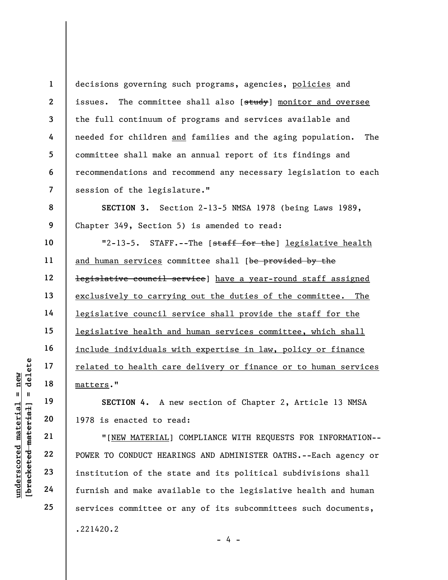1 2 3 4 5 6 7 decisions governing such programs, agencies, policies and issues. The committee shall also [study] monitor and oversee the full continuum of programs and services available and needed for children and families and the aging population. The committee shall make an annual report of its findings and recommendations and recommend any necessary legislation to each session of the legislature."

SECTION 3. Section 2-13-5 NMSA 1978 (being Laws 1989, Chapter 349, Section 5) is amended to read:

10 11 12 13 14 15 16 17 18 "2-13-5. STAFF.--The [staff for the] legislative health and human services committee shall [be provided by the legislative council service] have a year-round staff assigned exclusively to carrying out the duties of the committee. The legislative council service shall provide the staff for the legislative health and human services committee, which shall include individuals with expertise in law, policy or finance related to health care delivery or finance or to human services matters."

SECTION 4. A new section of Chapter 2, Article 13 NMSA 1978 is enacted to read:

under 17<br>
= 18<br>
= 18<br>
= 19<br>
= 19<br>
= 19<br>
= 1978 is enacted to re<br>
= 1978 is enacted to re<br>
= 1978 is enacted to re<br>
= 1978 is enacted to re<br>
= 1978 is enacted to re<br>
= 1978 is enacted to re<br>
= 1978 is enacted to re<br>
= 1978 "[NEW MATERIAL] COMPLIANCE WITH REQUESTS FOR INFORMATION-- POWER TO CONDUCT HEARINGS AND ADMINISTER OATHS.--Each agency or institution of the state and its political subdivisions shall furnish and make available to the legislative health and human services committee or any of its subcommittees such documents, .221420.2

23 24

25

19

20

21

22

8

9